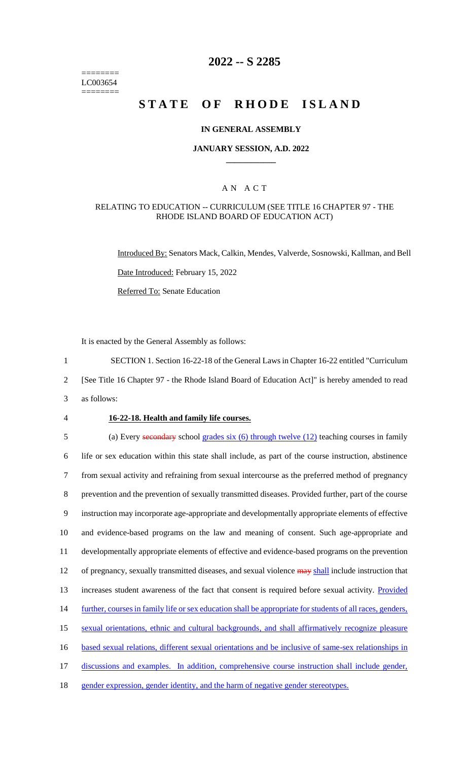======== LC003654 ========

### **2022 -- S 2285**

# **STATE OF RHODE ISLAND**

#### **IN GENERAL ASSEMBLY**

#### **JANUARY SESSION, A.D. 2022 \_\_\_\_\_\_\_\_\_\_\_\_**

### A N A C T

#### RELATING TO EDUCATION -- CURRICULUM (SEE TITLE 16 CHAPTER 97 - THE RHODE ISLAND BOARD OF EDUCATION ACT)

Introduced By: Senators Mack, Calkin, Mendes, Valverde, Sosnowski, Kallman, and Bell Date Introduced: February 15, 2022 Referred To: Senate Education

It is enacted by the General Assembly as follows:

1 SECTION 1. Section 16-22-18 of the General Laws in Chapter 16-22 entitled "Curriculum

2 [See Title 16 Chapter 97 - the Rhode Island Board of Education Act]" is hereby amended to read

- 3 as follows:
- 

#### 4 **16-22-18. Health and family life courses.**

5 (a) Every secondary school grades six (6) through twelve (12) teaching courses in family life or sex education within this state shall include, as part of the course instruction, abstinence from sexual activity and refraining from sexual intercourse as the preferred method of pregnancy prevention and the prevention of sexually transmitted diseases. Provided further, part of the course instruction may incorporate age-appropriate and developmentally appropriate elements of effective and evidence-based programs on the law and meaning of consent. Such age-appropriate and developmentally appropriate elements of effective and evidence-based programs on the prevention 12 of pregnancy, sexually transmitted diseases, and sexual violence may shall include instruction that 13 increases student awareness of the fact that consent is required before sexual activity. Provided 14 further, courses in family life or sex education shall be appropriate for students of all races, genders, sexual orientations, ethnic and cultural backgrounds, and shall affirmatively recognize pleasure based sexual relations, different sexual orientations and be inclusive of same-sex relationships in 17 discussions and examples. In addition, comprehensive course instruction shall include gender, gender expression, gender identity, and the harm of negative gender stereotypes.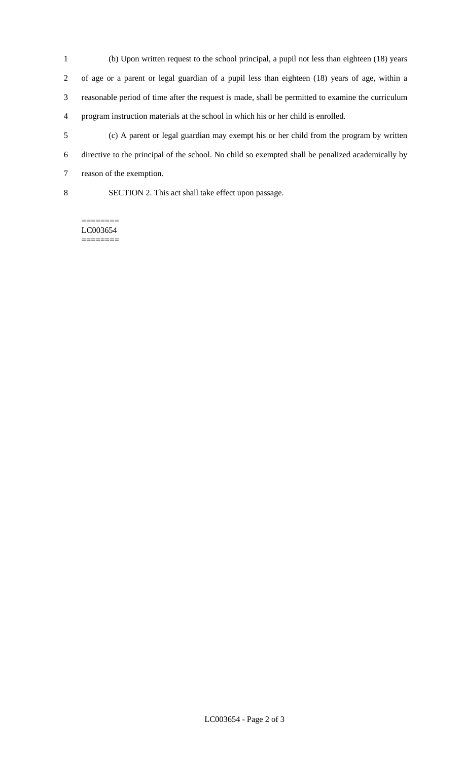- (b) Upon written request to the school principal, a pupil not less than eighteen (18) years of age or a parent or legal guardian of a pupil less than eighteen (18) years of age, within a reasonable period of time after the request is made, shall be permitted to examine the curriculum program instruction materials at the school in which his or her child is enrolled.
- (c) A parent or legal guardian may exempt his or her child from the program by written directive to the principal of the school. No child so exempted shall be penalized academically by reason of the exemption.
- 

SECTION 2. This act shall take effect upon passage.

======== LC003654 ========